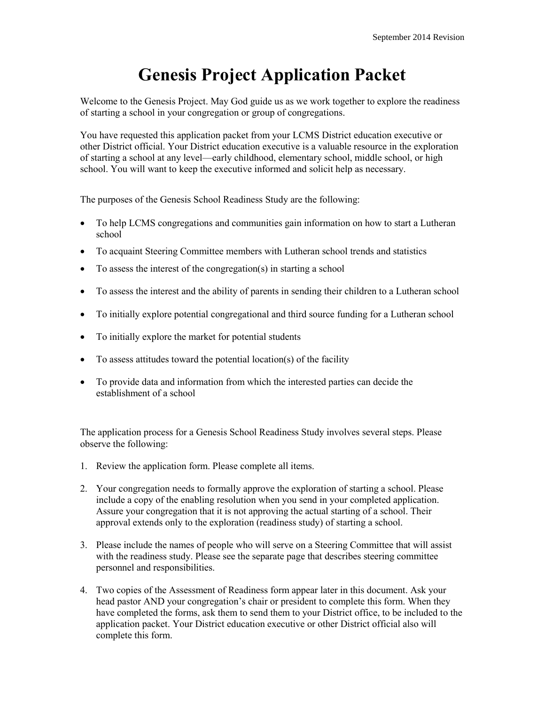# **Genesis Project Application Packet**

Welcome to the Genesis Project. May God guide us as we work together to explore the readiness of starting a school in your congregation or group of congregations.

You have requested this application packet from your LCMS District education executive or other District official. Your District education executive is a valuable resource in the exploration of starting a school at any level—early childhood, elementary school, middle school, or high school. You will want to keep the executive informed and solicit help as necessary.

The purposes of the Genesis School Readiness Study are the following:

- To help LCMS congregations and communities gain information on how to start a Lutheran school
- To acquaint Steering Committee members with Lutheran school trends and statistics
- To assess the interest of the congregation(s) in starting a school
- To assess the interest and the ability of parents in sending their children to a Lutheran school
- To initially explore potential congregational and third source funding for a Lutheran school
- To initially explore the market for potential students
- To assess attitudes toward the potential location(s) of the facility
- To provide data and information from which the interested parties can decide the establishment of a school

The application process for a Genesis School Readiness Study involves several steps. Please observe the following:

- 1. Review the application form. Please complete all items.
- 2. Your congregation needs to formally approve the exploration of starting a school. Please include a copy of the enabling resolution when you send in your completed application. Assure your congregation that it is not approving the actual starting of a school. Their approval extends only to the exploration (readiness study) of starting a school.
- 3. Please include the names of people who will serve on a Steering Committee that will assist with the readiness study. Please see the separate page that describes steering committee personnel and responsibilities.
- 4. Two copies of the Assessment of Readiness form appear later in this document. Ask your head pastor AND your congregation's chair or president to complete this form. When they have completed the forms, ask them to send them to your District office, to be included to the application packet. Your District education executive or other District official also will complete this form.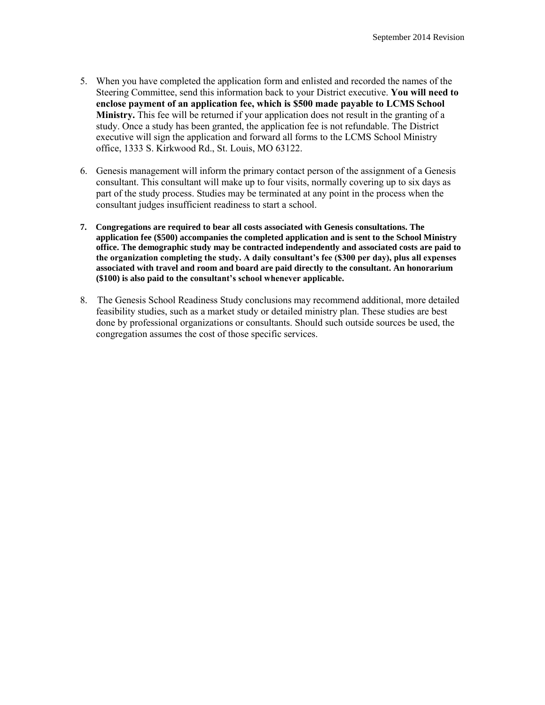- 5. When you have completed the application form and enlisted and recorded the names of the Steering Committee, send this information back to your District executive. **You will need to enclose payment of an application fee, which is \$500 made payable to LCMS School Ministry.** This fee will be returned if your application does not result in the granting of a study. Once a study has been granted, the application fee is not refundable. The District executive will sign the application and forward all forms to the LCMS School Ministry office, 1333 S. Kirkwood Rd., St. Louis, MO 63122.
- 6. Genesis management will inform the primary contact person of the assignment of a Genesis consultant. This consultant will make up to four visits, normally covering up to six days as part of the study process. Studies may be terminated at any point in the process when the consultant judges insufficient readiness to start a school.
- **7. Congregations are required to bear all costs associated with Genesis consultations. The application fee (\$500) accompanies the completed application and is sent to the School Ministry office. The demographic study may be contracted independently and associated costs are paid to the organization completing the study. A daily consultant's fee (\$300 per day), plus all expenses associated with travel and room and board are paid directly to the consultant. An honorarium (\$100) is also paid to the consultant's school whenever applicable.**
- 8. The Genesis School Readiness Study conclusions may recommend additional, more detailed feasibility studies, such as a market study or detailed ministry plan. These studies are best done by professional organizations or consultants. Should such outside sources be used, the congregation assumes the cost of those specific services.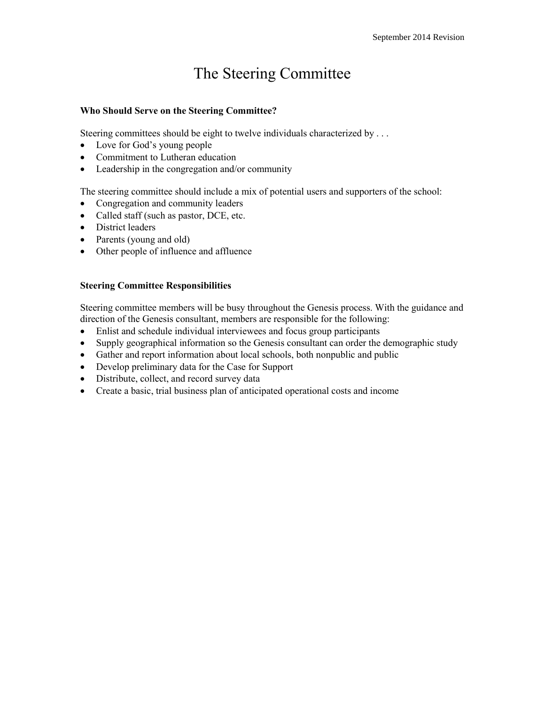## The Steering Committee

#### **Who Should Serve on the Steering Committee?**

Steering committees should be eight to twelve individuals characterized by ...

- Love for God's young people
- Commitment to Lutheran education
- Leadership in the congregation and/or community

The steering committee should include a mix of potential users and supporters of the school:

- Congregation and community leaders
- Called staff (such as pastor, DCE, etc.
- District leaders
- Parents (young and old)
- Other people of influence and affluence

#### **Steering Committee Responsibilities**

Steering committee members will be busy throughout the Genesis process. With the guidance and direction of the Genesis consultant, members are responsible for the following:

- Enlist and schedule individual interviewees and focus group participants
- Supply geographical information so the Genesis consultant can order the demographic study
- Gather and report information about local schools, both nonpublic and public
- Develop preliminary data for the Case for Support
- Distribute, collect, and record survey data
- Create a basic, trial business plan of anticipated operational costs and income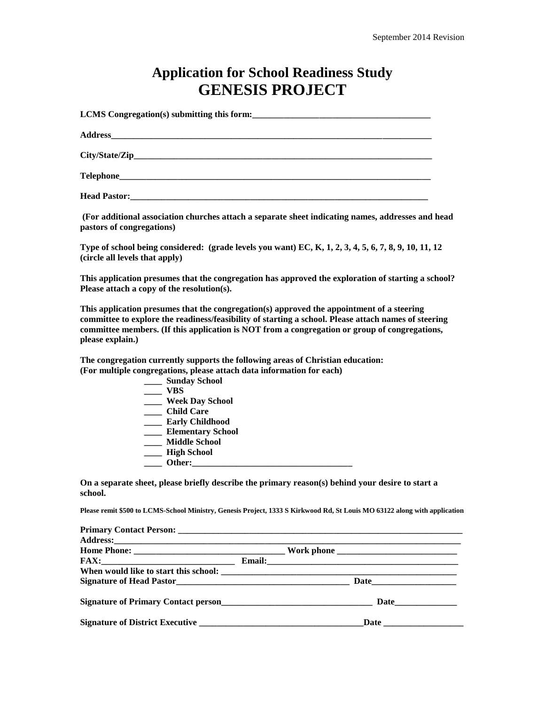### **Application for School Readiness Study GENESIS PROJECT**

**LCMS** Congregation(s) submitting this form:

**Address\_\_\_\_\_\_\_\_\_\_\_\_\_\_\_\_\_\_\_\_\_\_\_\_\_\_\_\_\_\_\_\_\_\_\_\_\_\_\_\_\_\_\_\_\_\_\_\_\_\_\_\_\_\_\_\_\_\_\_\_\_\_\_\_\_\_\_\_\_\_\_\_**

**City/State/Zip\_\_\_\_\_\_\_\_\_\_\_\_\_\_\_\_\_\_\_\_\_\_\_\_\_\_\_\_\_\_\_\_\_\_\_\_\_\_\_\_\_\_\_\_\_\_\_\_\_\_\_\_\_\_\_\_\_\_\_\_\_\_\_\_\_\_\_**

 $\bf Telephone$ 

**Head Pastor:** 

**(For additional association churches attach a separate sheet indicating names, addresses and head pastors of congregations)**

**Type of school being considered: (grade levels you want) EC, K, 1, 2, 3, 4, 5, 6, 7, 8, 9, 10, 11, 12 (circle all levels that apply)** 

**This application presumes that the congregation has approved the exploration of starting a school? Please attach a copy of the resolution(s).**

**This application presumes that the congregation(s) approved the appointment of a steering committee to explore the readiness/feasibility of starting a school. Please attach names of steering committee members. (If this application is NOT from a congregation or group of congregations, please explain.)**

**The congregation currently supports the following areas of Christian education: (For multiple congregations, please attach data information for each)**

| <b>Sunday School</b>     |
|--------------------------|
| VBS                      |
| <b>Week Day School</b>   |
| <b>Child Care</b>        |
| <b>Early Childhood</b>   |
| <b>Elementary School</b> |
| <b>Middle School</b>     |
| <b>High School</b>       |
| Other:                   |

**On a separate sheet, please briefly describe the primary reason(s) behind your desire to start a school.**

**Please remit \$500 to LCMS-School Ministry, Genesis Project, 1333 S Kirkwood Rd, St Louis MO 63122 along with application**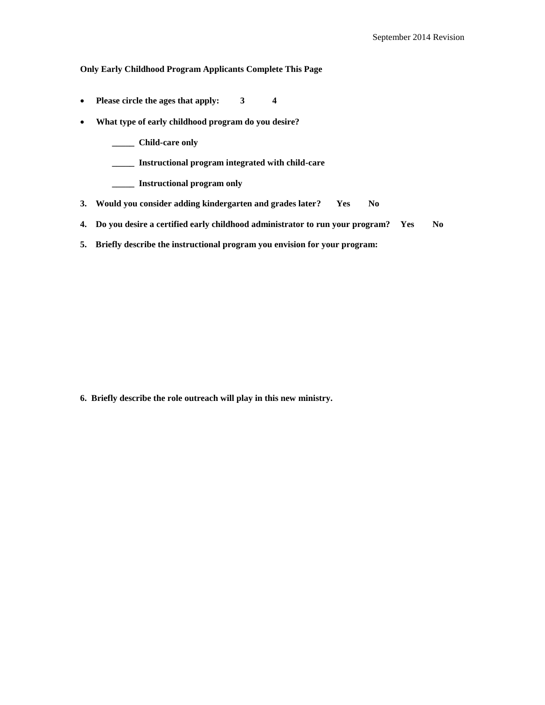#### **Only Early Childhood Program Applicants Complete This Page**

- **Please circle the ages that apply: 3 4**
- **What type of early childhood program do you desire?**
	- **\_\_\_\_\_ Child-care only**
	- **\_\_\_\_\_ Instructional program integrated with child-care**
	- **\_\_\_\_\_ Instructional program only**
- **3. Would you consider adding kindergarten and grades later? Yes No**
- **4. Do you desire a certified early childhood administrator to run your program? Yes No**
- **5. Briefly describe the instructional program you envision for your program:**

**6. Briefly describe the role outreach will play in this new ministry.**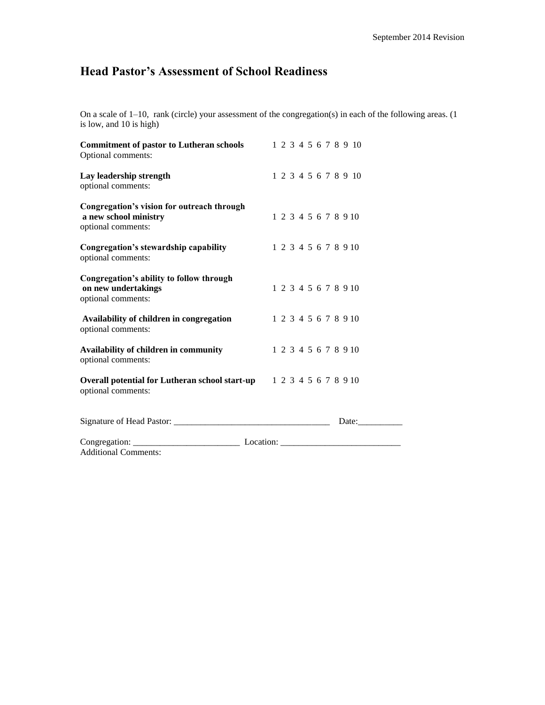### **Head Pastor's Assessment of School Readiness**

On a scale of 1–10, rank (circle) your assessment of the congregation(s) in each of the following areas. (1 is low, and 10 is high)

| <b>Commitment of pastor to Lutheran schools</b><br>Optional comments:                     |  |  |  |  | 1 2 3 4 5 6 7 8 9 10 |  |
|-------------------------------------------------------------------------------------------|--|--|--|--|----------------------|--|
| Lay leadership strength<br>optional comments:                                             |  |  |  |  | 1 2 3 4 5 6 7 8 9 10 |  |
| Congregation's vision for outreach through<br>a new school ministry<br>optional comments: |  |  |  |  | 1 2 3 4 5 6 7 8 9 10 |  |
| Congregation's stewardship capability<br>optional comments:                               |  |  |  |  | 1 2 3 4 5 6 7 8 9 10 |  |
| Congregation's ability to follow through<br>on new undertakings<br>optional comments:     |  |  |  |  | 1 2 3 4 5 6 7 8 9 10 |  |
| Availability of children in congregation<br>optional comments:                            |  |  |  |  | 1 2 3 4 5 6 7 8 9 10 |  |
| Availability of children in community<br>optional comments:                               |  |  |  |  | 1 2 3 4 5 6 7 8 9 10 |  |
| Overall potential for Lutheran school start-up 12345678910<br>optional comments:          |  |  |  |  |                      |  |
|                                                                                           |  |  |  |  | Date:                |  |
|                                                                                           |  |  |  |  |                      |  |
| <b>Additional Comments:</b>                                                               |  |  |  |  |                      |  |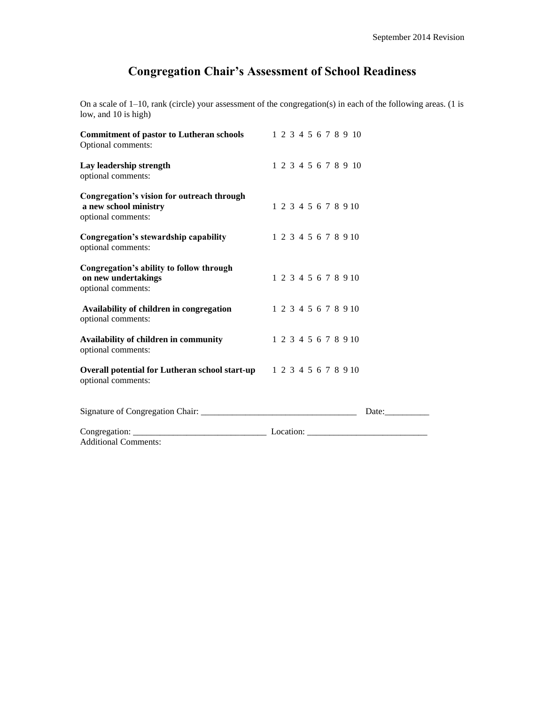### **Congregation Chair's Assessment of School Readiness**

On a scale of 1–10, rank (circle) your assessment of the congregation(s) in each of the following areas. (1 is low, and 10 is high)

| <b>Commitment of pastor to Lutheran schools</b><br>Optional comments:                     | 1 2 3 4 5 6 7 8 9 10 |  |
|-------------------------------------------------------------------------------------------|----------------------|--|
| Lay leadership strength<br>optional comments:                                             | 1 2 3 4 5 6 7 8 9 10 |  |
| Congregation's vision for outreach through<br>a new school ministry<br>optional comments: | 1 2 3 4 5 6 7 8 9 10 |  |
| Congregation's stewardship capability<br>optional comments:                               | 1 2 3 4 5 6 7 8 9 10 |  |
| Congregation's ability to follow through<br>on new undertakings<br>optional comments:     | 1 2 3 4 5 6 7 8 9 10 |  |
| Availability of children in congregation<br>optional comments:                            | 1 2 3 4 5 6 7 8 9 10 |  |
| Availability of children in community<br>optional comments:                               | 1 2 3 4 5 6 7 8 9 10 |  |
| Overall potential for Lutheran school start-up 12345678910<br>optional comments:          |                      |  |
|                                                                                           | Date:                |  |
| <b>Additional Comments:</b>                                                               |                      |  |